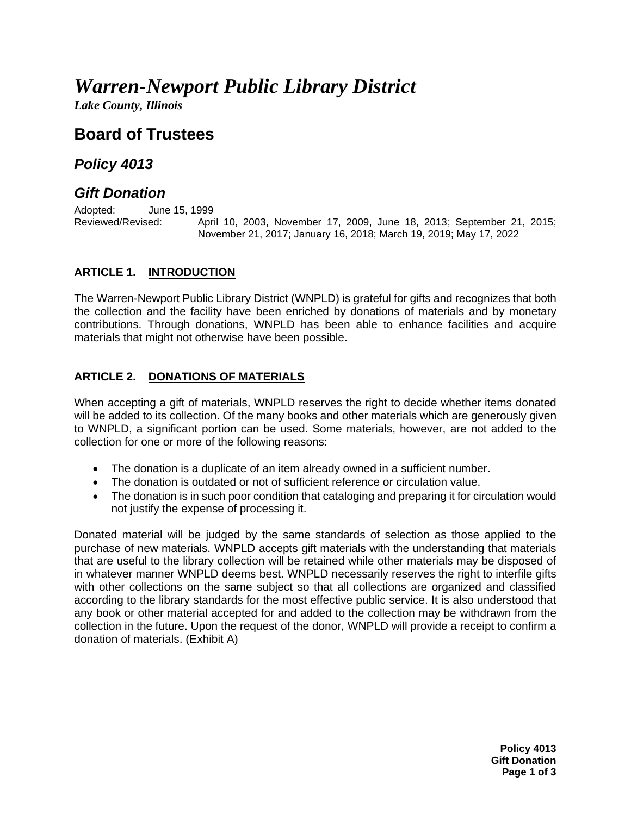# *Warren-Newport Public Library District*

*Lake County, Illinois*

## **Board of Trustees**

### *Policy 4013*

## *Gift Donation*

Adopted: June 15, 1999<br>Reviewed/Revised: Apri April 10, 2003, November 17, 2009, June 18, 2013; September 21, 2015; November 21, 2017; January 16, 2018; March 19, 2019; May 17, 2022

#### **ARTICLE 1. INTRODUCTION**

The Warren-Newport Public Library District (WNPLD) is grateful for gifts and recognizes that both the collection and the facility have been enriched by donations of materials and by monetary contributions. Through donations, WNPLD has been able to enhance facilities and acquire materials that might not otherwise have been possible.

#### **ARTICLE 2. DONATIONS OF MATERIALS**

When accepting a gift of materials, WNPLD reserves the right to decide whether items donated will be added to its collection. Of the many books and other materials which are generously given to WNPLD, a significant portion can be used. Some materials, however, are not added to the collection for one or more of the following reasons:

- The donation is a duplicate of an item already owned in a sufficient number.
- The donation is outdated or not of sufficient reference or circulation value.
- The donation is in such poor condition that cataloging and preparing it for circulation would not justify the expense of processing it.

Donated material will be judged by the same standards of selection as those applied to the purchase of new materials. WNPLD accepts gift materials with the understanding that materials that are useful to the library collection will be retained while other materials may be disposed of in whatever manner WNPLD deems best. WNPLD necessarily reserves the right to interfile gifts with other collections on the same subject so that all collections are organized and classified according to the library standards for the most effective public service. It is also understood that any book or other material accepted for and added to the collection may be withdrawn from the collection in the future. Upon the request of the donor, WNPLD will provide a receipt to confirm a donation of materials. (Exhibit A)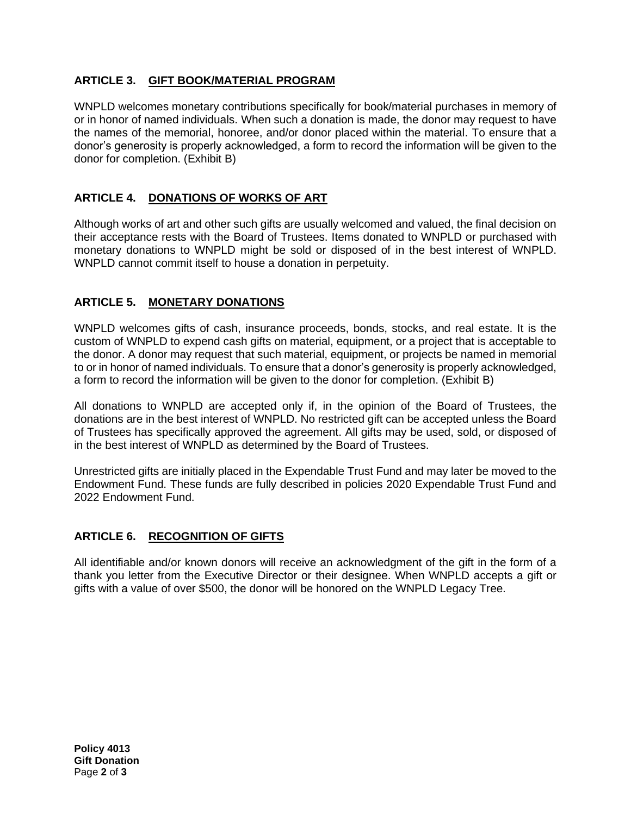#### **ARTICLE 3. GIFT BOOK/MATERIAL PROGRAM**

WNPLD welcomes monetary contributions specifically for book/material purchases in memory of or in honor of named individuals. When such a donation is made, the donor may request to have the names of the memorial, honoree, and/or donor placed within the material. To ensure that a donor's generosity is properly acknowledged, a form to record the information will be given to the donor for completion. (Exhibit B)

#### **ARTICLE 4. DONATIONS OF WORKS OF ART**

Although works of art and other such gifts are usually welcomed and valued, the final decision on their acceptance rests with the Board of Trustees. Items donated to WNPLD or purchased with monetary donations to WNPLD might be sold or disposed of in the best interest of WNPLD. WNPLD cannot commit itself to house a donation in perpetuity.

#### **ARTICLE 5. MONETARY DONATIONS**

WNPLD welcomes gifts of cash, insurance proceeds, bonds, stocks, and real estate. It is the custom of WNPLD to expend cash gifts on material, equipment, or a project that is acceptable to the donor. A donor may request that such material, equipment, or projects be named in memorial to or in honor of named individuals. To ensure that a donor's generosity is properly acknowledged, a form to record the information will be given to the donor for completion. (Exhibit B)

All donations to WNPLD are accepted only if, in the opinion of the Board of Trustees, the donations are in the best interest of WNPLD. No restricted gift can be accepted unless the Board of Trustees has specifically approved the agreement. All gifts may be used, sold, or disposed of in the best interest of WNPLD as determined by the Board of Trustees.

Unrestricted gifts are initially placed in the Expendable Trust Fund and may later be moved to the Endowment Fund. These funds are fully described in policies 2020 Expendable Trust Fund and 2022 Endowment Fund.

#### **ARTICLE 6. RECOGNITION OF GIFTS**

All identifiable and/or known donors will receive an acknowledgment of the gift in the form of a thank you letter from the Executive Director or their designee. When WNPLD accepts a gift or gifts with a value of over \$500, the donor will be honored on the WNPLD Legacy Tree.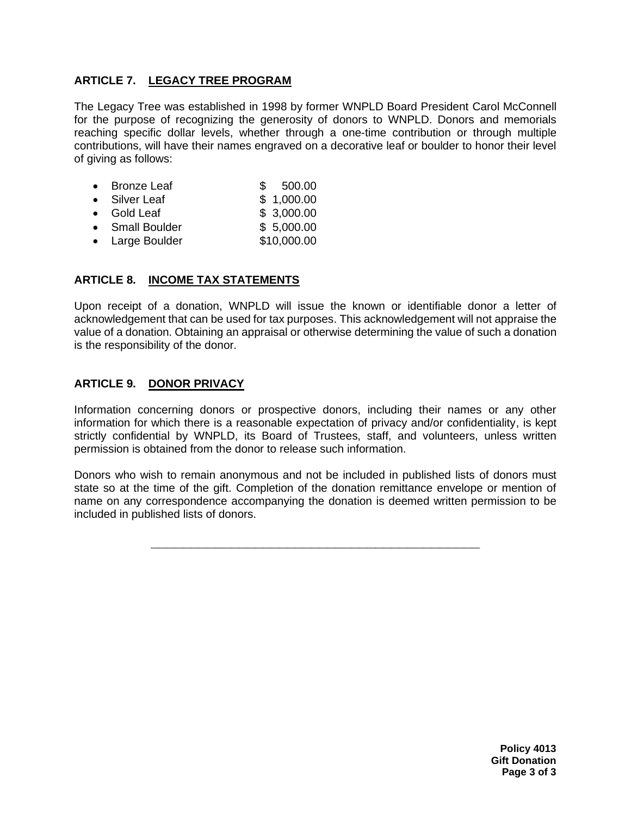#### **ARTICLE 7. LEGACY TREE PROGRAM**

The Legacy Tree was established in 1998 by former WNPLD Board President Carol McConnell for the purpose of recognizing the generosity of donors to WNPLD. Donors and memorials reaching specific dollar levels, whether through a one-time contribution or through multiple contributions, will have their names engraved on a decorative leaf or boulder to honor their level of giving as follows:

- Bronze Leaf  $$500.00$
- Silver Leaf \$ 1,000.00
- Gold Leaf \$ 3,000.00
- Small Boulder \$ 5,000.00
- Large Boulder \$10,000.00

#### **ARTICLE 8. INCOME TAX STATEMENTS**

Upon receipt of a donation, WNPLD will issue the known or identifiable donor a letter of acknowledgement that can be used for tax purposes. This acknowledgement will not appraise the value of a donation. Obtaining an appraisal or otherwise determining the value of such a donation is the responsibility of the donor.

#### **ARTICLE 9. DONOR PRIVACY**

Information concerning donors or prospective donors, including their names or any other information for which there is a reasonable expectation of privacy and/or confidentiality, is kept strictly confidential by WNPLD, its Board of Trustees, staff, and volunteers, unless written permission is obtained from the donor to release such information.

Donors who wish to remain anonymous and not be included in published lists of donors must state so at the time of the gift. Completion of the donation remittance envelope or mention of name on any correspondence accompanying the donation is deemed written permission to be included in published lists of donors.

**\_\_\_\_\_\_\_\_\_\_\_\_\_\_\_\_\_\_\_\_\_\_\_\_\_\_\_\_\_\_\_\_\_\_\_\_\_\_\_\_\_**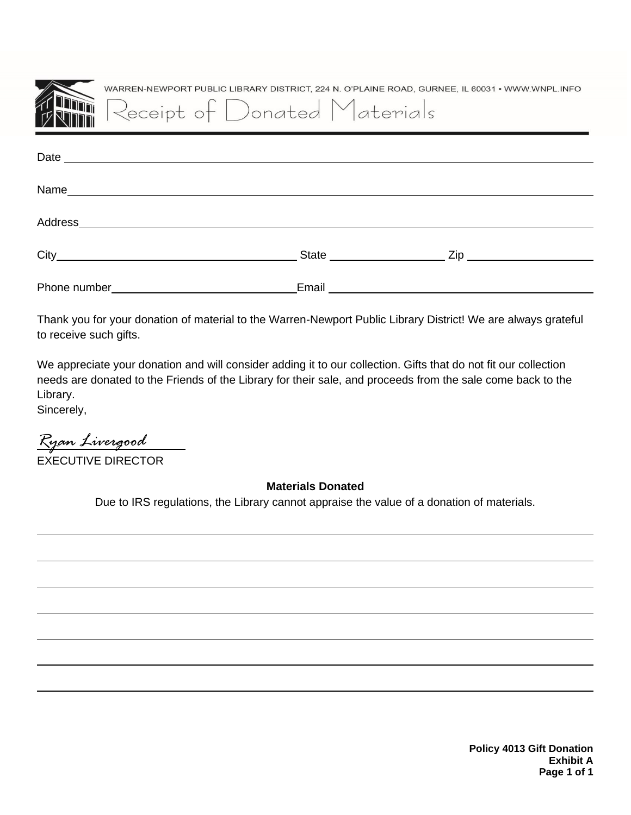| WARREN-NEWPORT PUBLIC LIBRARY DISTRICT, 224 N. O'PLAINE ROAD, GURNEE, IL 60031 • WWW.WNPL.INFO<br>Receipt of Donated Materials                                                                                                 |
|--------------------------------------------------------------------------------------------------------------------------------------------------------------------------------------------------------------------------------|
|                                                                                                                                                                                                                                |
|                                                                                                                                                                                                                                |
| Address and the contract of the contract of the contract of the contract of the contract of the contract of the contract of the contract of the contract of the contract of the contract of the contract of the contract of th |
|                                                                                                                                                                                                                                |
| Email _________________________                                                                                                                                                                                                |

Thank you for your donation of material to the Warren-Newport Public Library District! We are always grateful to receive such gifts.

We appreciate your donation and will consider adding it to our collection. Gifts that do not fit our collection needs are donated to the Friends of the Library for their sale, and proceeds from the sale come back to the Library.

Sincerely,

*Ryan Livergood* EXECUTIVE DIRECTOR

**Materials Donated**

Due to IRS regulations, the Library cannot appraise the value of a donation of materials.

**Policy 4013 Gift Donation Exhibit A Page 1 of 1**